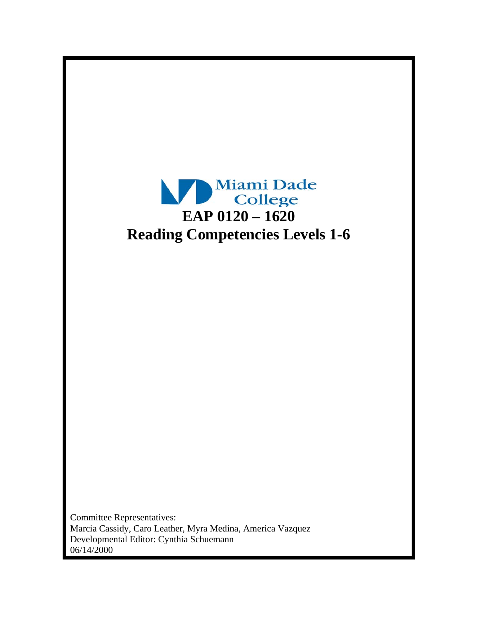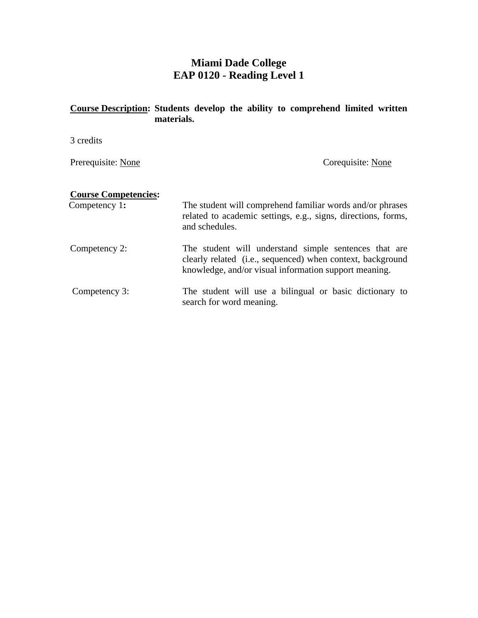# **Miami Dade College EAP 0120 - Reading Level 1**

## **Course Description: Students develop the ability to comprehend limited written materials.**

3 credits

Prerequisite: None Corequisite: None

## **Course Competencies:**

Competency 1: The student will comprehend familiar words and/or phrases related to academic settings, e.g., signs, directions, forms, and schedules.

Competency 2: The student will understand simple sentences that are clearly related (i.e., sequenced) when context, background knowledge, and/or visual information support meaning.

Competency 3: The student will use a bilingual or basic dictionary to search for word meaning.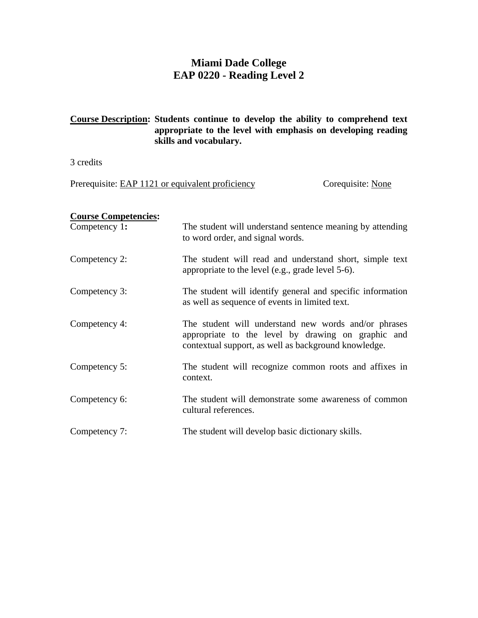# **Miami Dade College EAP 0220 - Reading Level 2**

#### **Course Description: Students continue to develop the ability to comprehend text appropriate to the level with emphasis on developing reading skills and vocabulary.**

3 credits

Prerequisite: EAP 1121 or equivalent proficiency Corequisite: None

## **Course Competencies:**

| Competency 1: | The student will understand sentence meaning by attending<br>to word order, and signal words.                                                                      |
|---------------|--------------------------------------------------------------------------------------------------------------------------------------------------------------------|
| Competency 2: | The student will read and understand short, simple text<br>appropriate to the level (e.g., grade level 5-6).                                                       |
| Competency 3: | The student will identify general and specific information<br>as well as sequence of events in limited text.                                                       |
| Competency 4: | The student will understand new words and/or phrases<br>appropriate to the level by drawing on graphic and<br>contextual support, as well as background knowledge. |
| Competency 5: | The student will recognize common roots and affixes in<br>context.                                                                                                 |
| Competency 6: | The student will demonstrate some awareness of common<br>cultural references.                                                                                      |
| Competency 7: | The student will develop basic dictionary skills.                                                                                                                  |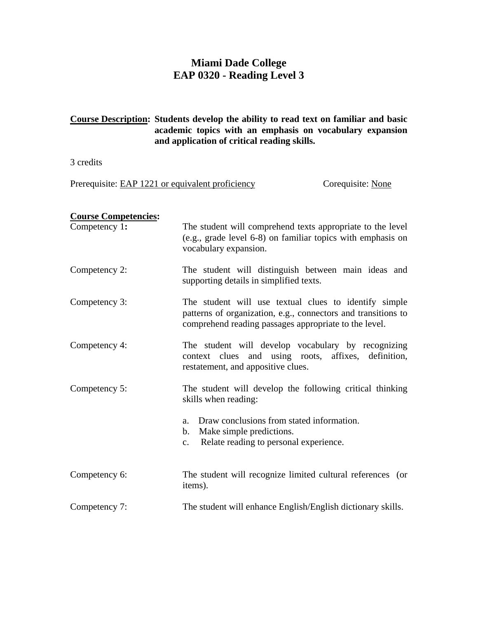# **Miami Dade College EAP 0320 - Reading Level 3**

### **Course Description: Students develop the ability to read text on familiar and basic academic topics with an emphasis on vocabulary expansion and application of critical reading skills.**

3 credits

Prerequisite: EAP 1221 or equivalent proficiency Corequisite: None

## **Course Competencies:**

| Competency 1: | The student will comprehend texts appropriate to the level<br>(e.g., grade level 6-8) on familiar topics with emphasis on<br>vocabulary expansion.                              |
|---------------|---------------------------------------------------------------------------------------------------------------------------------------------------------------------------------|
| Competency 2: | The student will distinguish between main ideas and<br>supporting details in simplified texts.                                                                                  |
| Competency 3: | The student will use textual clues to identify simple<br>patterns of organization, e.g., connectors and transitions to<br>comprehend reading passages appropriate to the level. |
| Competency 4: | The student will develop vocabulary by recognizing<br>context clues and using roots, affixes, definition,<br>restatement, and appositive clues.                                 |
| Competency 5: | The student will develop the following critical thinking<br>skills when reading:                                                                                                |
|               | Draw conclusions from stated information.<br>a.<br>Make simple predictions.<br>b.<br>Relate reading to personal experience.<br>$\mathbf{c}$ .                                   |
| Competency 6: | The student will recognize limited cultural references (or<br>items).                                                                                                           |
| Competency 7: | The student will enhance English/English dictionary skills.                                                                                                                     |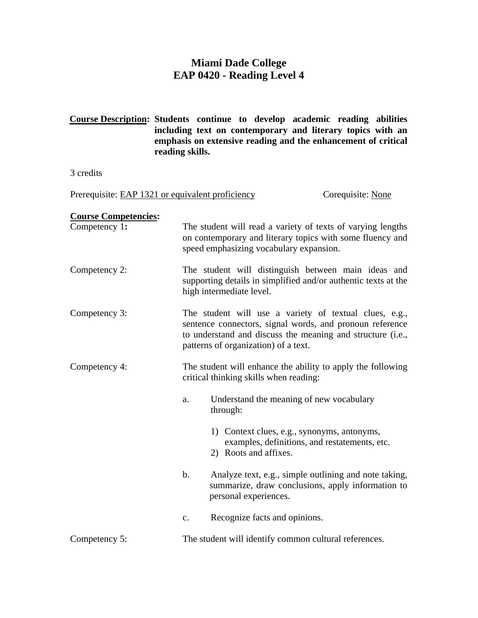# **Miami Dade College EAP 0420 - Reading Level 4**

**Course Description: Students continue to develop academic reading abilities including text on contemporary and literary topics with an emphasis on extensive reading and the enhancement of critical reading skills.**

3 credits

Prerequisite: EAP 1321 or equivalent proficiency Corequisite: None

#### **Course Competencies:**

| Competency 1: | The student will read a variety of texts of varying lengths<br>on contemporary and literary topics with some fluency and<br>speed emphasizing vocabulary expansion.                                                      |
|---------------|--------------------------------------------------------------------------------------------------------------------------------------------------------------------------------------------------------------------------|
| Competency 2: | The student will distinguish between main ideas and<br>supporting details in simplified and/or authentic texts at the<br>high intermediate level.                                                                        |
| Competency 3: | The student will use a variety of textual clues, e.g.,<br>sentence connectors, signal words, and pronoun reference<br>to understand and discuss the meaning and structure (i.e.,<br>patterns of organization) of a text. |

- Competency 4: The student will enhance the ability to apply the following critical thinking skills when reading:
	- a. Understand the meaning of new vocabulary through:
		- 1) Context clues, e.g., synonyms, antonyms, examples, definitions, and restatements, etc.
			- 2) Roots and affixes.
	- b. Analyze text, e.g., simple outlining and note taking, summarize, draw conclusions, apply information to personal experiences.
	- c. Recognize facts and opinions.

#### Competency 5: The student will identify common cultural references.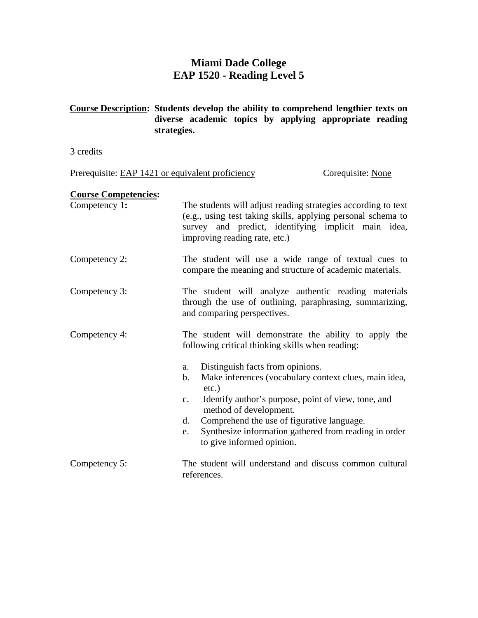# **Miami Dade College EAP 1520 - Reading Level 5**

**Course Description: Students develop the ability to comprehend lengthier texts on diverse academic topics by applying appropriate reading strategies.** 

3 credits

Prerequisite: EAP 1421 or equivalent proficiency Corequisite: None

#### **Course Competencies:**

| Competency 1: | The students will adjust reading strategies according to text                        |  |
|---------------|--------------------------------------------------------------------------------------|--|
|               | (e.g., using test taking skills, applying personal schema to                         |  |
|               | survey and predict, identifying implicit main idea,<br>improving reading rate, etc.) |  |
|               |                                                                                      |  |

#### Competency 2: The student will use a wide range of textual cues to compare the meaning and structure of academic materials.

- Competency 3: The student will analyze authentic reading materials through the use of outlining, paraphrasing, summarizing, and comparing perspectives.
- Competency 4: The student will demonstrate the ability to apply the following critical thinking skills when reading:
	- a. Distinguish facts from opinions.
	- b. Make inferences (vocabulary context clues, main idea, etc.)
	- c. Identify author's purpose, point of view, tone, and method of development.
	- d. Comprehend the use of figurative language.
	- e. Synthesize information gathered from reading in order to give informed opinion.
- Competency 5: The student will understand and discuss common cultural references.